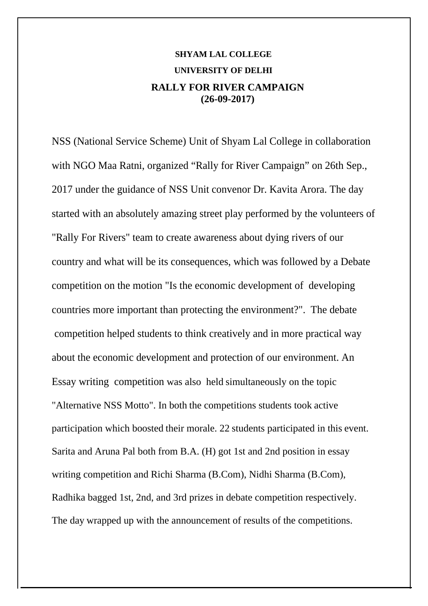## **SHYAM LAL COLLEGE UNIVERSITY OF DELHI RALLY FOR RIVER CAMPAIGN (26-09-2017)**

NSS (National Service Scheme) Unit of Shyam Lal College in collaboration with NGO Maa Ratni, organized "Rally for River Campaign" on 26th Sep., 2017 under the guidance of NSS Unit convenor Dr. Kavita Arora. The day started with an absolutely amazing street play performed by the volunteers of "Rally For Rivers" team to create awareness about dying rivers of our country and what will be its consequences, which was followed by a Debate competition on the motion "Is the economic development of developing countries more important than protecting the environment?". The debate competition helped students to think creatively and in more practical way about the economic development and protection of our environment. An Essay writing competition was also held simultaneously on the topic "Alternative NSS Motto". In both the competitions students took active participation which boosted their morale. 22 students participated in this event. Sarita and Aruna Pal both from B.A. (H) got 1st and 2nd position in essay writing competition and Richi Sharma (B.Com), Nidhi Sharma (B.Com), Radhika bagged 1st, 2nd, and 3rd prizes in debate competition respectively. The day wrapped up with the announcement of results of the competitions.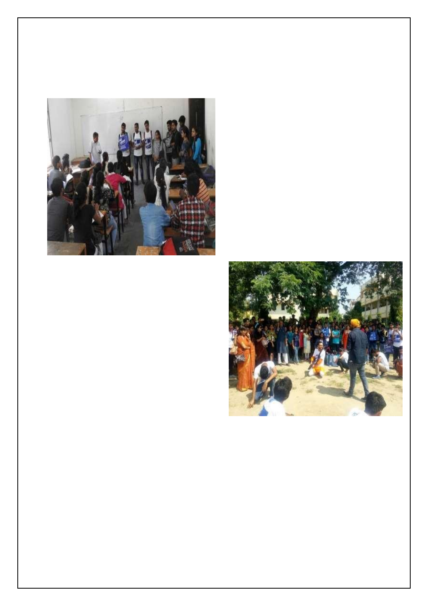

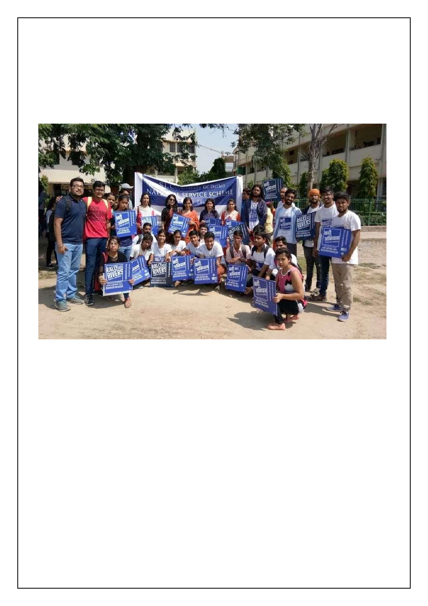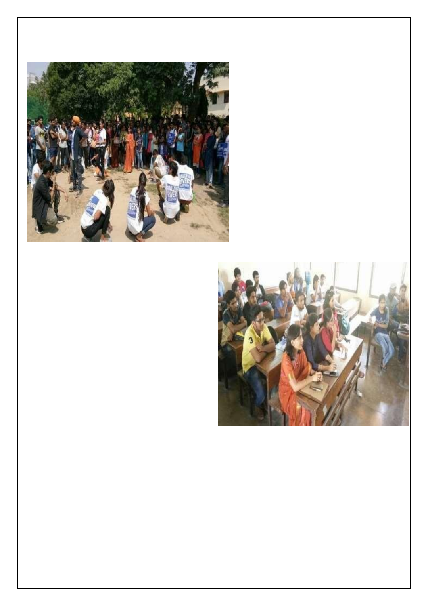